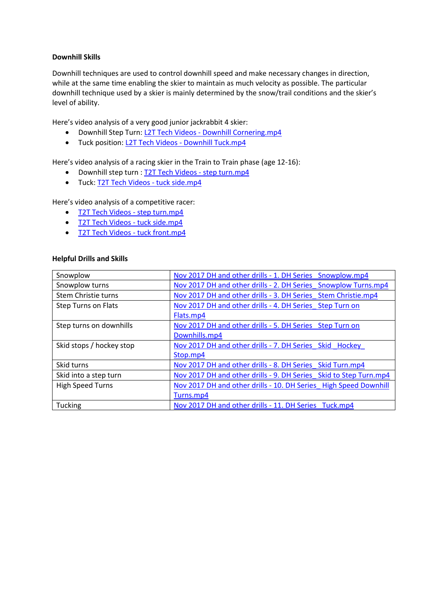## **Downhill Skills**

Downhill techniques are used to control downhill speed and make necessary changes in direction, while at the same time enabling the skier to maintain as much velocity as possible. The particular downhill technique used by a skier is mainly determined by the snow/trail conditions and the skier's level of ability.

Here's video analysis of a very good junior jackrabbit 4 skier:

- Downhill Step Turn: L2T Tech Videos Downhill Cornering.mp4
- Tuck position: L2T Tech Videos Downhill Tuck.mp4

Here's video analysis of a racing skier in the Train to Train phase (age 12-16):

- Downhill step turn : [T2T Tech Videos](https://www.coachseye.com/t/27gf) step turn.mp4
- Tuck: [T2T Tech Videos -](https://www.coachseye.com/t/f437162df6cd47b4800f787a54d98a52) tuck side.mp4

Here's video analysis of a competitive racer:

- [T2T Tech Videos -](https://www.coachseye.com/t/27gf) step turn.mp4
- [T2T Tech Videos -](https://www.coachseye.com/t/BAbZ) tuck side.mp4
- [T2T Tech Videos -](https://www.coachseye.com/t/3VJl) tuck front.mp4

### **Helpful Drills and Skills**

| Snowplow                   | Nov 2017 DH and other drills - 1. DH Series Snowplow.mp4          |
|----------------------------|-------------------------------------------------------------------|
| Snowplow turns             | Nov 2017 DH and other drills - 2. DH Series Snowplow Turns.mp4    |
| Stem Christie turns        | Nov 2017 DH and other drills - 3. DH Series Stem Christie.mp4     |
| <b>Step Turns on Flats</b> | Nov 2017 DH and other drills - 4. DH Series Step Turn on          |
|                            | Flats.mp4                                                         |
| Step turns on downhills    | Nov 2017 DH and other drills - 5. DH Series Step Turn on          |
|                            | Downhills.mp4                                                     |
| Skid stops / hockey stop   | Nov 2017 DH and other drills - 7. DH Series Skid Hockey           |
|                            | Stop.mp4                                                          |
| Skid turns                 | Nov 2017 DH and other drills - 8. DH Series Skid Turn.mp4         |
| Skid into a step turn      | Nov 2017 DH and other drills - 9. DH Series Skid to Step Turn.mp4 |
| <b>High Speed Turns</b>    | Nov 2017 DH and other drills - 10. DH Series High Speed Downhill  |
|                            | Turns.mp4                                                         |
| Tucking                    | Nov 2017 DH and other drills - 11. DH Series Tuck.mp4             |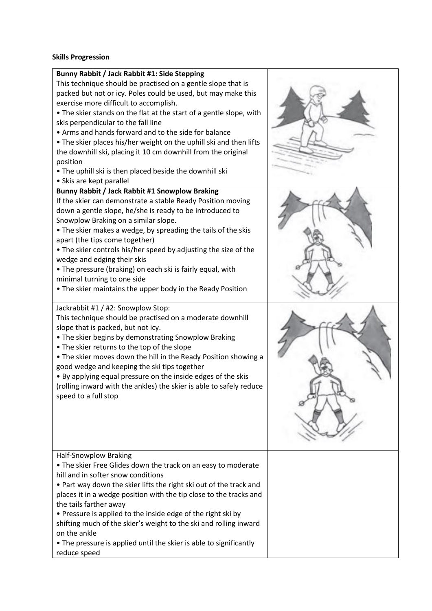### **Skills Progression**

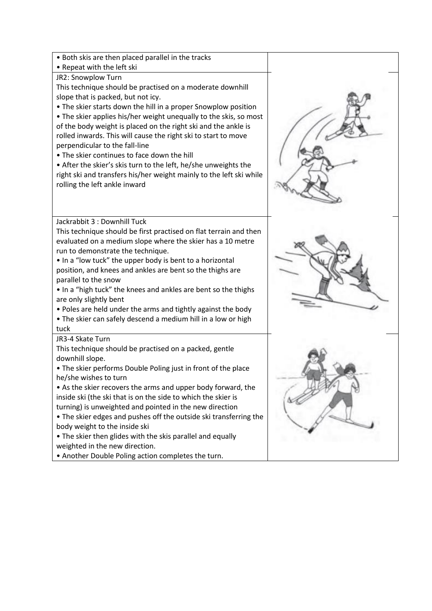| • Both skis are then placed parallel in the tracks                  |  |
|---------------------------------------------------------------------|--|
| • Repeat with the left ski                                          |  |
| JR2: Snowplow Turn                                                  |  |
| This technique should be practised on a moderate downhill           |  |
| slope that is packed, but not icy.                                  |  |
| • The skier starts down the hill in a proper Snowplow position      |  |
| • The skier applies his/her weight unequally to the skis, so most   |  |
| of the body weight is placed on the right ski and the ankle is      |  |
| rolled inwards. This will cause the right ski to start to move      |  |
| perpendicular to the fall-line                                      |  |
| . The skier continues to face down the hill                         |  |
| • After the skier's skis turn to the left, he/she unweights the     |  |
| right ski and transfers his/her weight mainly to the left ski while |  |
| rolling the left ankle inward                                       |  |
|                                                                     |  |
|                                                                     |  |
| Jackrabbit 3 : Downhill Tuck                                        |  |
| This technique should be first practised on flat terrain and then   |  |
| evaluated on a medium slope where the skier has a 10 metre          |  |
| run to demonstrate the technique.                                   |  |
| . In a "low tuck" the upper body is bent to a horizontal            |  |
| position, and knees and ankles are bent so the thighs are           |  |
| parallel to the snow                                                |  |
| . In a "high tuck" the knees and ankles are bent so the thighs      |  |
| are only slightly bent                                              |  |
| . Poles are held under the arms and tightly against the body        |  |
| • The skier can safely descend a medium hill in a low or high       |  |
| tuck                                                                |  |
| JR3-4 Skate Turn                                                    |  |
| This technique should be practised on a packed, gentle              |  |
| downhill slope.                                                     |  |
| • The skier performs Double Poling just in front of the place       |  |
| he/she wishes to turn                                               |  |
| • As the skier recovers the arms and upper body forward, the        |  |
| inside ski (the ski that is on the side to which the skier is       |  |
| turning) is unweighted and pointed in the new direction             |  |
| . The skier edges and pushes off the outside ski transferring the   |  |
| body weight to the inside ski                                       |  |
| • The skier then glides with the skis parallel and equally          |  |
| weighted in the new direction.                                      |  |
| . Another Double Poling action completes the turn.                  |  |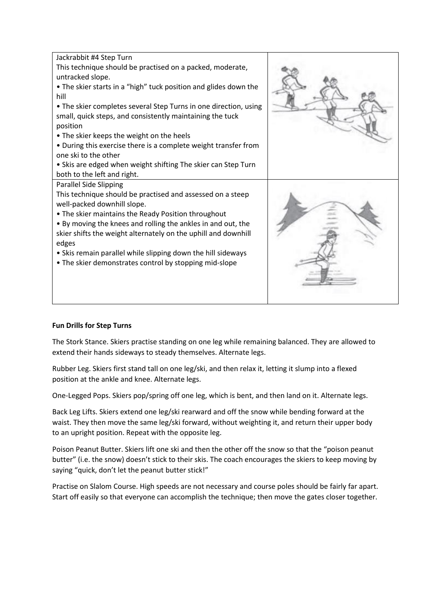

# **Fun Drills for Step Turns**

The Stork Stance. Skiers practise standing on one leg while remaining balanced. They are allowed to extend their hands sideways to steady themselves. Alternate legs.

Rubber Leg. Skiers first stand tall on one leg/ski, and then relax it, letting it slump into a flexed position at the ankle and knee. Alternate legs.

One-Legged Pops. Skiers pop/spring off one leg, which is bent, and then land on it. Alternate legs.

Back Leg Lifts. Skiers extend one leg/ski rearward and off the snow while bending forward at the waist. They then move the same leg/ski forward, without weighting it, and return their upper body to an upright position. Repeat with the opposite leg.

Poison Peanut Butter. Skiers lift one ski and then the other off the snow so that the "poison peanut butter" (i.e. the snow) doesn't stick to their skis. The coach encourages the skiers to keep moving by saying "quick, don't let the peanut butter stick!"

Practise on Slalom Course. High speeds are not necessary and course poles should be fairly far apart. Start off easily so that everyone can accomplish the technique; then move the gates closer together.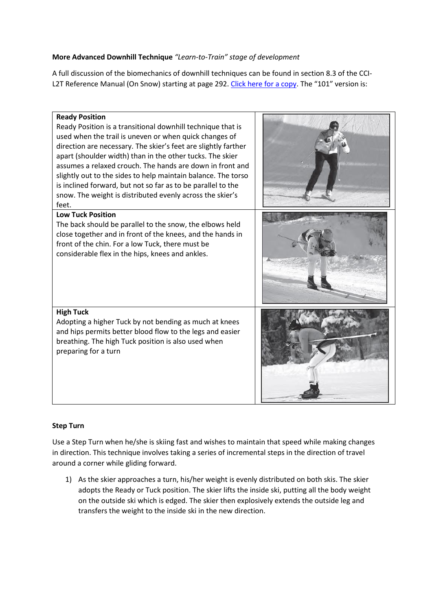# **More Advanced Downhill Technique** *"Learn-to-Train" stage of development*

A full discussion of the biomechanics of downhill techniques can be found in section 8.3 of the CCI-L2T Reference Manual (On Snow) starting at page 292. [Click here for a copy](http://www.kanatanordic.ca/wp-content/uploads/CCI-L2T-OS-RM-June-10-2014.pdf). The "101" version is:



# **Step Turn**

Use a Step Turn when he/she is skiing fast and wishes to maintain that speed while making changes in direction. This technique involves taking a series of incremental steps in the direction of travel around a corner while gliding forward.

1) As the skier approaches a turn, his/her weight is evenly distributed on both skis. The skier adopts the Ready or Tuck position. The skier lifts the inside ski, putting all the body weight on the outside ski which is edged. The skier then explosively extends the outside leg and transfers the weight to the inside ski in the new direction.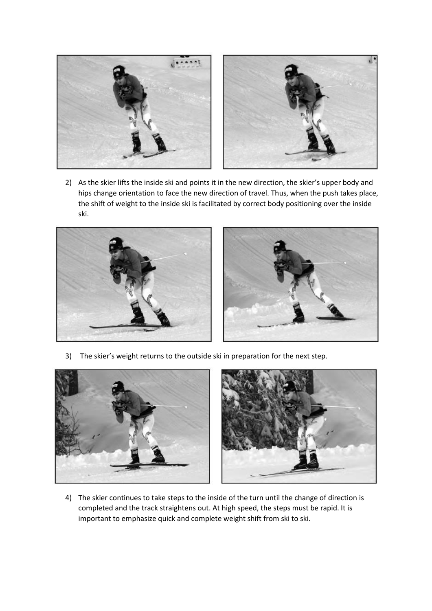

2) As the skier lifts the inside ski and points it in the new direction, the skier's upper body and hips change orientation to face the new direction of travel. Thus, when the push takes place, the shift of weight to the inside ski is facilitated by correct body positioning over the inside ski.



3) The skier's weight returns to the outside ski in preparation for the next step.



4) The skier continues to take steps to the inside of the turn until the change of direction is completed and the track straightens out. At high speed, the steps must be rapid. It is important to emphasize quick and complete weight shift from ski to ski.